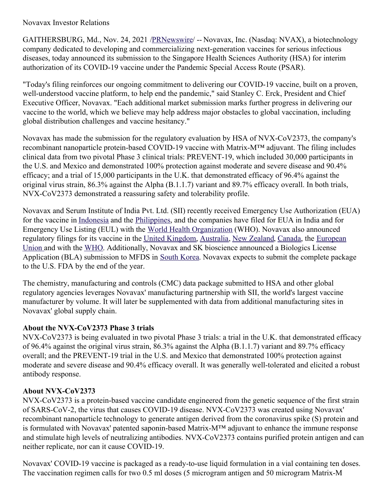## Novavax Investor Relations

GAITHERSBURG, Md., Nov. 24, 2021 [/PRNewswire](http://www.prnewswire.com/)/ -- Novavax, Inc. (Nasdaq: NVAX), a biotechnology company dedicated to developing and commercializing next-generation vaccines for serious infectious diseases, today announced its submission to the Singapore Health Sciences Authority (HSA) for interim authorization of its COVID-19 vaccine under the Pandemic Special Access Route (PSAR).

"Today's filing reinforces our ongoing commitment to delivering our COVID-19 vaccine, built on a proven, well-understood vaccine platform, to help end the pandemic," said Stanley C. Erck, President and Chief Executive Officer, Novavax. "Each additional market submission marks further progress in delivering our vaccine to the world, which we believe may help address major obstacles to global vaccination, including global distribution challenges and vaccine hesitancy."

Novavax has made the submission for the regulatory evaluation by HSA of NVX-CoV2373, the company's recombinant nanoparticle protein-based COVID-19 vaccine with Matrix-M™ adjuvant. The filing includes clinical data from two pivotal Phase 3 clinical trials: PREVENT-19, which included 30,000 participants in the U.S. and Mexico and demonstrated 100% protection against moderate and severe disease and 90.4% efficacy; and a trial of 15,000 participants in the U.K. that demonstrated efficacy of 96.4% against the original virus strain, 86.3% against the Alpha (B.1.1.7) variant and 89.7% efficacy overall. In both trials, NVX-CoV2373 demonstrated a reassuring safety and tolerability profile.

Novavax and Serum Institute of India Pvt. Ltd. (SII) recently received Emergency Use Authorization (EUA) for the vaccine in [Indonesia](https://c212.net/c/link/?t=0&l=en&o=3367039-1&h=230028734&u=https%3A%2F%2Fc212.net%2Fc%2Flink%2F%3Ft%3D0%26l%3Den%26o%3D3362763-1%26h%3D3423756820%26u%3Dhttps%253A%252F%252Fir.novavax.com%252F2021-11-01-Novavax-and-Serum-Institute-of-India-Receive-Emergency-Use-Authorization-for-COVID-19-Vaccine-in-Indonesia%26a%3DIndonesia&a=Indonesia) and the [Philippines](https://c212.net/c/link/?t=0&l=en&o=3367039-1&h=3201419400&u=https%3A%2F%2Fc212.net%2Fc%2Flink%2F%3Ft%3D0%26l%3Den%26o%3D3362763-1%26h%3D2975356756%26u%3Dhttps%253A%252F%252Fir.novavax.com%252F2021-11-17-Novavax-and-Serum-Institute-of-India-Receive-Emergency-Use-Authorization-for-COVID-19-Vaccine-in-the-Philippines%26a%3DPhilippines&a=Philippines), and the companies have filed for EUA in India and for Emergency Use Listing (EUL) with the World Health [Organization](https://c212.net/c/link/?t=0&l=en&o=3367039-1&h=2000528552&u=https%3A%2F%2Fc212.net%2Fc%2Flink%2F%3Ft%3D0%26l%3Den%26o%3D3362763-1%26h%3D1111037274%26u%3Dhttps%253A%252F%252Fir.novavax.com%252F2021-09-23-Novavax-and-Serum-Institute-of-India-Announce-Submission-to-World-Health-Organization-for-Emergency-Use-Listing-of-Novavax-COVID-19-Vaccine%26a%3DWorld%2BHealth%2BOrganization&a=World+Health+Organization) (WHO). Novavax also announced regulatory filings for its vaccine in the United [Kingdom](https://c212.net/c/link/?t=0&l=en&o=3367039-1&h=3193774664&u=https%3A%2F%2Fc212.net%2Fc%2Flink%2F%3Ft%3D0%26l%3Den%26o%3D3362763-1%26h%3D4271304883%26u%3Dhttps%253A%252F%252Fir.novavax.com%252F2021-10-27-Novavax-Files-for-Authorization-of-its-COVID-19-Vaccine-in-the-United-Kingdom%26a%3DUnited%2BKingdom&a=United+Kingdom), [Australia](https://c212.net/c/link/?t=0&l=en&o=3367039-1&h=1509999465&u=https%3A%2F%2Fc212.net%2Fc%2Flink%2F%3Ft%3D0%26l%3Den%26o%3D3362763-1%26h%3D2847977980%26u%3Dhttps%253A%252F%252Fir.novavax.com%252F2021-10-29-Novavax-Files-for-Provisional-Approval-of-its-COVID-19-Vaccine-in-Australia%26a%3DAustralia&a=Australia), New [Zealand](https://c212.net/c/link/?t=0&l=en&o=3367039-1&h=2449088172&u=https%3A%2F%2Fc212.net%2Fc%2Flink%2F%3Ft%3D0%26l%3Den%26o%3D3362763-1%26h%3D2146291065%26u%3Dhttps%253A%252F%252Fir.novavax.com%252F2021-11-03-Novavax-Files-COVID-19-Vaccine-for-Provisional-Approval-in-New-Zealand%26a%3DNew%2BZealand&a=New+Zealand), [Canada](https://c212.net/c/link/?t=0&l=en&o=3367039-1&h=4223724015&u=https%3A%2F%2Fc212.net%2Fc%2Flink%2F%3Ft%3D0%26l%3Den%26o%3D3362763-1%26h%3D2249194863%26u%3Dhttps%253A%252F%252Fir.novavax.com%252F2021-11-01-Novavax-Files-for-COVID-19-Vaccine-Authorization-with-Health-Canada-and-Completes-Submission-for-Rolling-Review-to-European-Medicines-Agency%26a%3DCanada&a=Canada), the European Union and with the [WHO](https://c212.net/c/link/?t=0&l=en&o=3367039-1&h=1525892938&u=https%3A%2F%2Fc212.net%2Fc%2Flink%2F%3Ft%3D0%26l%3Den%26o%3D3362763-1%26h%3D3469386265%26u%3Dhttps%253A%252F%252Fir.novavax.com%252F2021-11-04-Novavax-Files-COVID-19-Vaccine-for-Emergency-Use-Listing-with-World-Health-Organization%26a%3DWHO&a=WHO). [Additionally,](https://c212.net/c/link/?t=0&l=en&o=3367039-1&h=2030819781&u=https%3A%2F%2Fir.novavax.com%2F2021-11-17-Novavax-Confirms-European-Medicines-Agency-Review-of-COVID-19-Vaccine-Filing-for-Conditional-Marketing-Authorization&a=European+Union%C2%A0) Novavax and SK bioscience announced a Biologics License Application (BLA) submission to MFDS in South [Korea](https://c212.net/c/link/?t=0&l=en&o=3367039-1&h=3035390095&u=https%3A%2F%2Fc212.net%2Fc%2Flink%2F%3Ft%3D0%26l%3Den%26o%3D3362763-1%26h%3D4072734029%26u%3Dhttps%253A%252F%252Fir.novavax.com%252F2021-11-15-Novavax-Announces-Submission-of-Biologics-License-Application-in-South-Korea-for-Approval-of-NVX-CoV2373%26a%3DSouth%2BKorea&a=South+Korea). Novavax expects to submit the complete package to the U.S. FDA by the end of the year.

The chemistry, manufacturing and controls (CMC) data package submitted to HSA and other global regulatory agencies leverages Novavax' manufacturing partnership with SII, the world's largest vaccine manufacturer by volume. It will later be supplemented with data from additional manufacturing sites in Novavax' global supply chain.

### **About the NVX-CoV2373 Phase 3 trials**

NVX-CoV2373 is being evaluated in two pivotal Phase 3 trials: a trial in the U.K. that demonstrated efficacy of 96.4% against the original virus strain, 86.3% against the Alpha (B.1.1.7) variant and 89.7% efficacy overall; and the PREVENT-19 trial in the U.S. and Mexico that demonstrated 100% protection against moderate and severe disease and 90.4% efficacy overall. It was generally well-tolerated and elicited a robust antibody response.

# **About NVX-CoV2373**

NVX-CoV2373 is a protein-based vaccine candidate engineered from the genetic sequence of the first strain of SARS-CoV-2, the virus that causes COVID-19 disease. NVX-CoV2373 was created using Novavax' recombinant nanoparticle technology to generate antigen derived from the coronavirus spike (S) protein and is formulated with Novavax' patented saponin-based Matrix-M™ adjuvant to enhance the immune response and stimulate high levels of neutralizing antibodies. NVX-CoV2373 contains purified protein antigen and can neither replicate, nor can it cause COVID-19.

Novavax' COVID-19 vaccine is packaged as a ready-to-use liquid formulation in a vial containing ten doses. The vaccination regimen calls for two 0.5 ml doses (5 microgram antigen and 50 microgram Matrix-M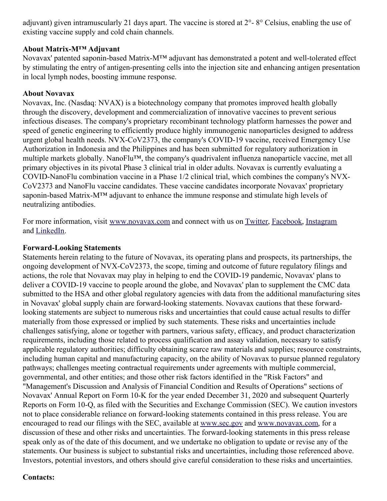adjuvant) given intramuscularly 21 days apart. The vaccine is stored at 2°- 8° Celsius, enabling the use of existing vaccine supply and cold chain channels.

### **About Matrix-M™ Adjuvant**

Novavax' patented saponin-based Matrix-M™ adjuvant has demonstrated a potent and well-tolerated effect by stimulating the entry of antigen-presenting cells into the injection site and enhancing antigen presentation in local lymph nodes, boosting immune response.

# **About Novavax**

Novavax, Inc. (Nasdaq: NVAX) is a biotechnology company that promotes improved health globally through the discovery, development and commercialization of innovative vaccines to prevent serious infectious diseases. The company's proprietary recombinant technology platform harnesses the power and speed of genetic engineering to efficiently produce highly immunogenic nanoparticles designed to address urgent global health needs. NVX-CoV2373, the company's COVID-19 vaccine, received Emergency Use Authorization in Indonesia and the Philippines and has been submitted for regulatory authorization in multiple markets globally. NanoFlu™, the company's quadrivalent influenza nanoparticle vaccine, met all primary objectives in its pivotal Phase 3 clinical trial in older adults. Novavax is currently evaluating a COVID-NanoFlu combination vaccine in a Phase 1/2 clinical trial, which combines the company's NVX-CoV2373 and NanoFlu vaccine candidates. These vaccine candidates incorporate Novavax' proprietary saponin-based Matrix-M™ adjuvant to enhance the immune response and stimulate high levels of neutralizing antibodies.

For more information, visit [www.novavax.com](https://c212.net/c/link/?t=0&l=en&o=3367039-1&h=462555917&u=https%3A%2F%2Fc212.net%2Fc%2Flink%2F%3Ft%3D0%26l%3Den%26o%3D3260461-1%26h%3D2897486098%26u%3Dhttp%253A%252F%252Fwww.novavax.com%252F%26a%3Dwww.novavax.com&a=www.novavax.com) and connect with us on [Twitter](https://c212.net/c/link/?t=0&l=en&o=3367039-1&h=605502989&u=https%3A%2F%2Fc212.net%2Fc%2Flink%2F%3Ft%3D0%26l%3Den%26o%3D3260461-1%26h%3D1316526774%26u%3Dhttps%253A%252F%252Fc212.net%252Fc%252Flink%252F%253Ft%253D0%2526l%253Den%2526o%253D3158017-1%2526h%253D500821283%2526u%253Dhttps%25253A%25252F%25252Ftwitter.com%25252FNovavax%2526a%253DTwitter%26a%3DTwitter&a=Twitter), [Facebook](https://c212.net/c/link/?t=0&l=en&o=3367039-1&h=17696336&u=https%3A%2F%2Fwww.facebook.com%2FNovavax%2F&a=Facebook), [Instagram](https://c212.net/c/link/?t=0&l=en&o=3367039-1&h=3348182013&u=https%3A%2F%2Fwww.instagram.com%2Fnovavax%2F&a=Instagram) and [LinkedIn](https://c212.net/c/link/?t=0&l=en&o=3367039-1&h=1544813786&u=https%3A%2F%2Fc212.net%2Fc%2Flink%2F%3Ft%3D0%26l%3Den%26o%3D3260461-1%26h%3D1508558197%26u%3Dhttps%253A%252F%252Fc212.net%252Fc%252Flink%252F%253Ft%253D0%2526l%253Den%2526o%253D3158017-1%2526h%253D3702938248%2526u%253Dhttps%25253A%25252F%25252Fwww.linkedin.com%25252Fcompany%25252Fnovavax%25252F%2526a%253DLinkedIn%26a%3DLinkedIn&a=LinkedIn).

## **Forward-Looking Statements**

Statements herein relating to the future of Novavax, its operating plans and prospects, its partnerships, the ongoing development of NVX-CoV2373, the scope, timing and outcome of future regulatory filings and actions, the role that Novavax may play in helping to end the COVID-19 pandemic, Novavax' plans to deliver a COVID-19 vaccine to people around the globe, and Novavax' plan to supplement the CMC data submitted to the HSA and other global regulatory agencies with data from the additional manufacturing sites in Novavax' global supply chain are forward-looking statements. Novavax cautions that these forwardlooking statements are subject to numerous risks and uncertainties that could cause actual results to differ materially from those expressed or implied by such statements. These risks and uncertainties include challenges satisfying, alone or together with partners, various safety, efficacy, and product characterization requirements, including those related to process qualification and assay validation, necessary to satisfy applicable regulatory authorities; difficulty obtaining scarce raw materials and supplies; resource constraints, including human capital and manufacturing capacity, on the ability of Novavax to pursue planned regulatory pathways; challenges meeting contractual requirements under agreements with multiple commercial, governmental, and other entities; and those other risk factors identified in the "Risk Factors" and "Management's Discussion and Analysis of Financial Condition and Results of Operations" sections of Novavax' Annual Report on Form 10-K for the year ended December 31, 2020 and subsequent Quarterly Reports on Form 10-Q, as filed with the Securities and Exchange Commission (SEC). We caution investors not to place considerable reliance on forward-looking statements contained in this press release. You are encouraged to read our filings with the SEC, available at [www.sec.gov](https://c212.net/c/link/?t=0&l=en&o=3367039-1&h=2163390992&u=http%3A%2F%2Fwww.sec.gov%2F&a=www.sec.gov) and [www.novavax.com](https://c212.net/c/link/?t=0&l=en&o=3367039-1&h=2244535936&u=http%3A%2F%2Fwww.novavax.com%2F&a=www.novavax.com), for a discussion of these and other risks and uncertainties. The forward-looking statements in this press release speak only as of the date of this document, and we undertake no obligation to update or revise any of the statements. Our business is subject to substantial risks and uncertainties, including those referenced above. Investors, potential investors, and others should give careful consideration to these risks and uncertainties.

### **Contacts:**